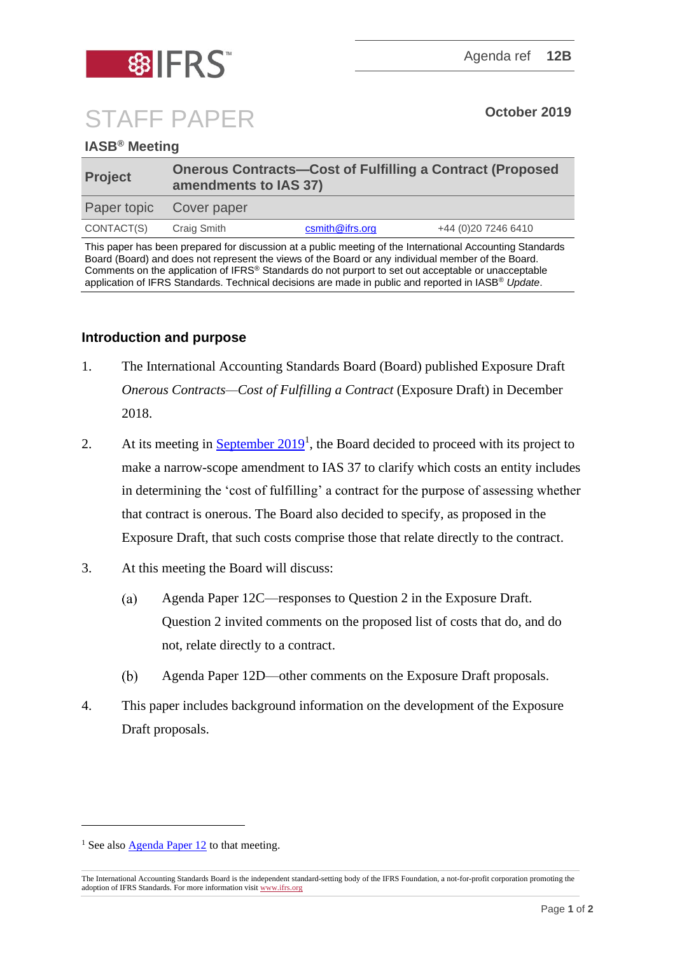

## STAFF PAPER **October <sup>2019</sup>**

## **IASB® Meeting**

| <b>Project</b>          | <b>Onerous Contracts-Cost of Fulfilling a Contract (Proposed</b><br>amendments to IAS 37) |                 |                      |
|-------------------------|-------------------------------------------------------------------------------------------|-----------------|----------------------|
| Paper topic Cover paper |                                                                                           |                 |                      |
| CONTACT(S)              | Craig Smith                                                                               | csmith@ifrs.org | +44 (0) 20 7246 6410 |

This paper has been prepared for discussion at a public meeting of the International Accounting Standards Board (Board) and does not represent the views of the Board or any individual member of the Board. Comments on the application of IFRS® Standards do not purport to set out acceptable or unacceptable application of IFRS Standards. Technical decisions are made in public and reported in IASB® *Update*.

## **Introduction and purpose**

- 1. The International Accounting Standards Board (Board) published Exposure Draft *Onerous Contracts—Cost of Fulfilling a Contract* (Exposure Draft) in December 2018.
- 2. At its meeting in  $S$ eptember  $2019<sup>1</sup>$ , the Board decided to proceed with its project to make a narrow-scope amendment to IAS 37 to clarify which costs an entity includes in determining the 'cost of fulfilling' a contract for the purpose of assessing whether that contract is onerous. The Board also decided to specify, as proposed in the Exposure Draft, that such costs comprise those that relate directly to the contract.
- 3. At this meeting the Board will discuss:
	- Agenda Paper 12C—responses to Question 2 in the Exposure Draft. (a) Question 2 invited comments on the proposed list of costs that do, and do not, relate directly to a contract.
	- $(b)$ Agenda Paper 12D—other comments on the Exposure Draft proposals.
- 4. This paper includes background information on the development of the Exposure Draft proposals.

<sup>&</sup>lt;sup>1</sup> See also [Agenda Paper 12](https://www.ifrs.org/-/media/feature/meetings/2019/september/iasb/ap12-implementation-matters.pdf) to that meeting.

The International Accounting Standards Board is the independent standard-setting body of the IFRS Foundation, a not-for-profit corporation promoting the adoption of IFRS Standards. For more information visi[t www.ifrs.org](http://www.ifrs.org/)